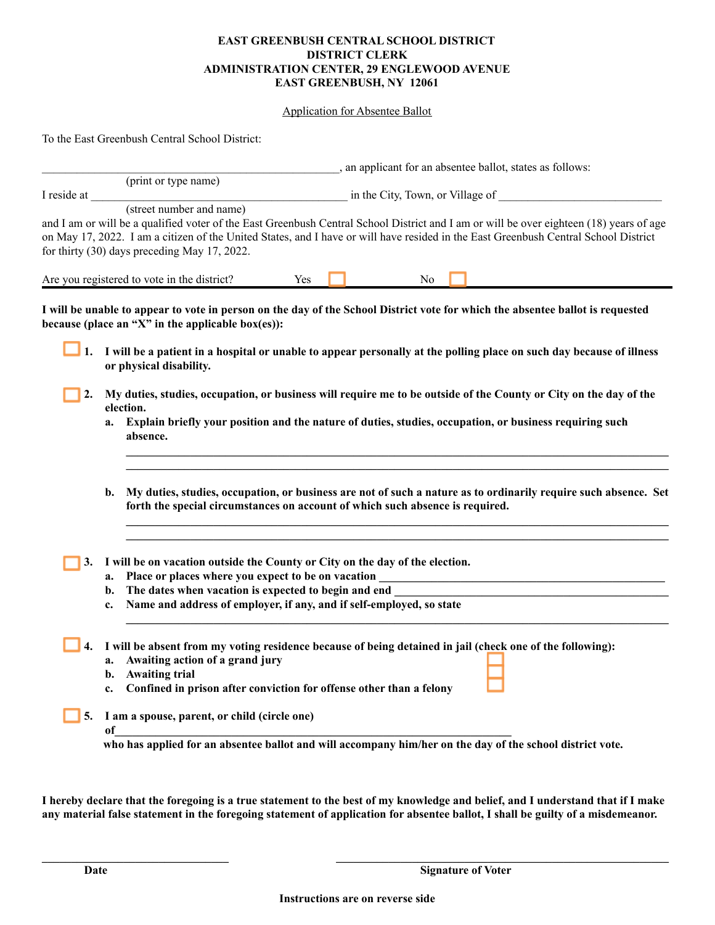## **EAST GREENBUSH CENTRAL SCHOOL DISTRICT DISTRICT CLERK ADMINISTRATION CENTER, 29 ENGLEWOOD AVENUE EAST GREENBUSH, NY 12061**

## Application for Absentee Ballot

To the East Greenbush Central School District:

|             |                                                                                                                                |                                                                                                                                                                                                  | , an applicant for an absentee ballot, states as follows: |  |  |                                  |  |                                                                                                                                                                                                                                                                                |  |
|-------------|--------------------------------------------------------------------------------------------------------------------------------|--------------------------------------------------------------------------------------------------------------------------------------------------------------------------------------------------|-----------------------------------------------------------|--|--|----------------------------------|--|--------------------------------------------------------------------------------------------------------------------------------------------------------------------------------------------------------------------------------------------------------------------------------|--|
|             |                                                                                                                                | (print or type name)                                                                                                                                                                             |                                                           |  |  |                                  |  |                                                                                                                                                                                                                                                                                |  |
| I reside at |                                                                                                                                | (street number and name)                                                                                                                                                                         |                                                           |  |  | in the City, Town, or Village of |  |                                                                                                                                                                                                                                                                                |  |
|             |                                                                                                                                | for thirty (30) days preceding May 17, 2022.                                                                                                                                                     |                                                           |  |  |                                  |  | and I am or will be a qualified voter of the East Greenbush Central School District and I am or will be over eighteen (18) years of age<br>on May 17, 2022. I am a citizen of the United States, and I have or will have resided in the East Greenbush Central School District |  |
|             |                                                                                                                                | Are you registered to vote in the district?                                                                                                                                                      | Yes                                                       |  |  | N <sub>0</sub>                   |  |                                                                                                                                                                                                                                                                                |  |
|             |                                                                                                                                | because (place an "X" in the applicable box(es)):                                                                                                                                                |                                                           |  |  |                                  |  | I will be unable to appear to vote in person on the day of the School District vote for which the absentee ballot is requested                                                                                                                                                 |  |
| ┛1.         |                                                                                                                                | or physical disability.                                                                                                                                                                          |                                                           |  |  |                                  |  | I will be a patient in a hospital or unable to appear personally at the polling place on such day because of illness                                                                                                                                                           |  |
| 2.          | My duties, studies, occupation, or business will require me to be outside of the County or City on the day of the<br>election. |                                                                                                                                                                                                  |                                                           |  |  |                                  |  |                                                                                                                                                                                                                                                                                |  |
|             | a.                                                                                                                             | Explain briefly your position and the nature of duties, studies, occupation, or business requiring such<br>absence.                                                                              |                                                           |  |  |                                  |  |                                                                                                                                                                                                                                                                                |  |
|             | b.                                                                                                                             | My duties, studies, occupation, or business are not of such a nature as to ordinarily require such absence. Set<br>forth the special circumstances on account of which such absence is required. |                                                           |  |  |                                  |  |                                                                                                                                                                                                                                                                                |  |
| 3.          |                                                                                                                                | I will be on vacation outside the County or City on the day of the election.                                                                                                                     |                                                           |  |  |                                  |  |                                                                                                                                                                                                                                                                                |  |
|             | b.                                                                                                                             | Place or places where you expect to be on vacation<br>The dates when vacation is expected to begin and end                                                                                       |                                                           |  |  |                                  |  |                                                                                                                                                                                                                                                                                |  |
|             | c.                                                                                                                             | Name and address of employer, if any, and if self-employed, so state                                                                                                                             |                                                           |  |  |                                  |  |                                                                                                                                                                                                                                                                                |  |
| 4.          | a.<br>b.<br>c.                                                                                                                 | Awaiting action of a grand jury<br><b>Awaiting trial</b><br>Confined in prison after conviction for offense other than a felony                                                                  |                                                           |  |  |                                  |  | I will be absent from my voting residence because of being detained in jail (check one of the following):                                                                                                                                                                      |  |
| 5.          | of                                                                                                                             | I am a spouse, parent, or child (circle one)                                                                                                                                                     |                                                           |  |  |                                  |  |                                                                                                                                                                                                                                                                                |  |
|             |                                                                                                                                |                                                                                                                                                                                                  |                                                           |  |  |                                  |  | who has applied for an absentee ballot and will accompany him/her on the day of the school district vote.                                                                                                                                                                      |  |

I hereby declare that the foregoing is a true statement to the best of my knowledge and belief, and I understand that if I make any material false statement in the foregoing statement of application for absentee ballot, I shall be guilty of a misdemeanor.

**\_\_\_\_\_\_\_\_\_\_\_\_\_\_\_\_\_\_\_\_\_\_\_\_\_\_\_\_\_\_\_\_ \_\_\_\_\_\_\_\_\_\_\_\_\_\_\_\_\_\_\_\_\_\_\_\_\_\_\_\_\_\_\_\_\_\_\_\_\_\_\_\_\_\_\_\_\_\_\_\_\_\_\_\_\_\_\_\_\_**